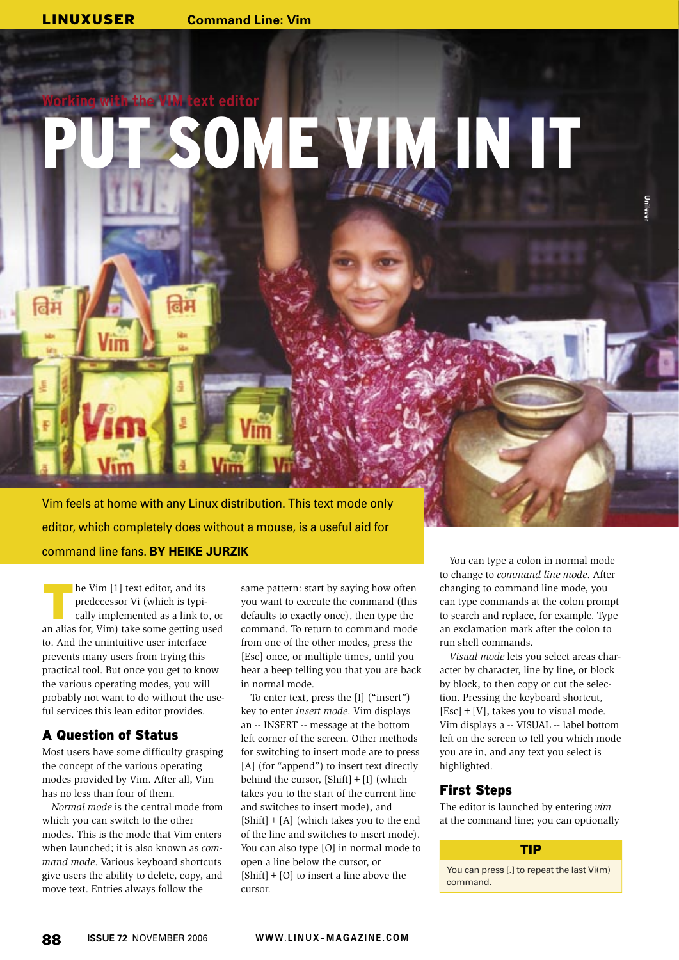LINUXUSER **Command Line: Vim**

# **Working with the VIM text editor** OME VIM IN IT

Vim feels at home with any Linux distribution. This text mode only editor, which completely does without a mouse, is a useful aid for command line fans. **BY HEIKE JURZIK**

**The Vim [1] text editor, and its**<br>
predecessor Vi (which is typically implemented as a link to, or predecessor Vi (which is typian alias for, Vim) take some getting used to. And the unintuitive user interface prevents many users from trying this practical tool. But once you get to know the various operating modes, you will probably not want to do without the useful services this lean editor provides.

# A Question of Status

Most users have some difficulty grasping the concept of the various operating modes provided by Vim. After all, Vim has no less than four of them.

*Normal mode* is the central mode from which you can switch to the other modes. This is the mode that Vim enters when launched; it is also known as *command mode*. Various keyboard shortcuts give users the ability to delete, copy, and move text. Entries always follow the

same pattern: start by saying how often you want to execute the command (this defaults to exactly once), then type the command. To return to command mode from one of the other modes, press the [Esc] once, or multiple times, until you hear a beep telling you that you are back in normal mode.

To enter text, press the [I] ("insert") key to enter *insert mode*. Vim displays an -- INSERT -- message at the bottom left corner of the screen. Other methods for switching to insert mode are to press [A] (for "append") to insert text directly behind the cursor,  $[Shift] + [I]$  (which takes you to the start of the current line and switches to insert mode), and  $[Shift] + [A]$  (which takes you to the end of the line and switches to insert mode). You can also type [O] in normal mode to open a line below the cursor, or  $[Shift] + [O]$  to insert a line above the cursor.

You can type a colon in normal mode to change to *command line mode*. After changing to command line mode, you can type commands at the colon prompt to search and replace, for example. Type an exclamation mark after the colon to run shell commands.

*Visual mode* lets you select areas character by character, line by line, or block by block, to then copy or cut the selection. Pressing the keyboard shortcut,  $[Esc] + [V]$ , takes you to visual mode. Vim displays a -- VISUAL -- label bottom left on the screen to tell you which mode you are in, and any text you select is highlighted.

## First Steps

The editor is launched by entering *vim* at the command line; you can optionally

## TIP

You can press [.] to repeat the last Vi(m) command.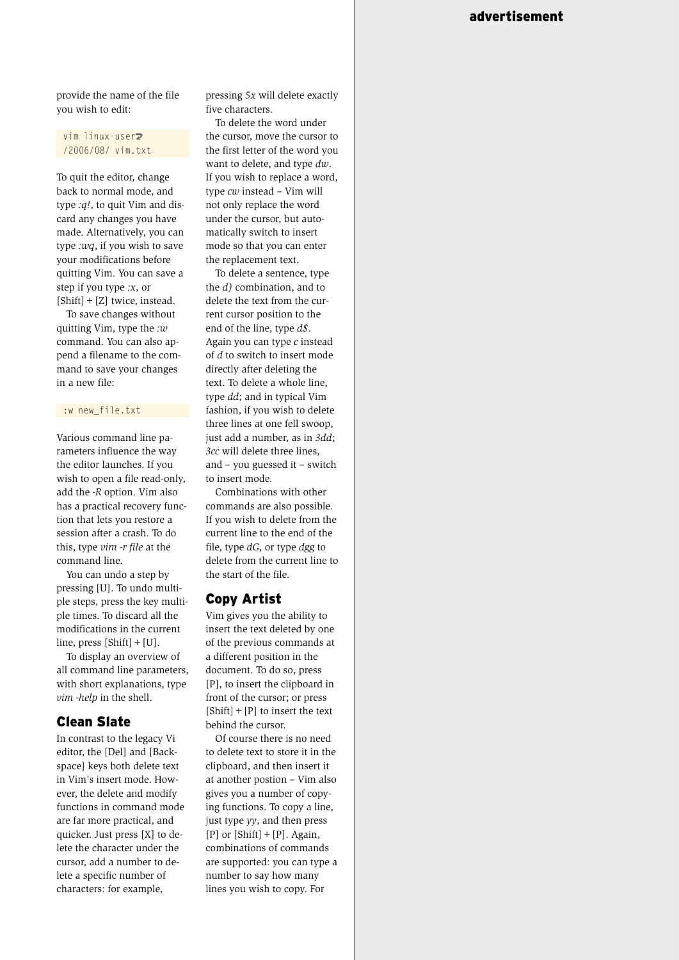provide the name of the file you wish to edit:

#### vim linux-user<sub>2</sub> /2006/08/ vim.txt

To quit the editor, change back to normal mode, and type *:q!*, to quit Vim and discard any changes you have made. Alternatively, you can type *:wq*, if you wish to save your modifications before quitting Vim. You can save a step if you type *:x*, or [Shift] + [Z] twice, instead.

To save changes without quitting Vim, type the *:w* command. You can also append a filename to the command to save your changes in a new file:

#### :w new\_file.txt

Various command line parameters influence the way the editor launches. If you wish to open a file read-only, add the *-R* option. Vim also has a practical recovery function that lets you restore a session after a crash. To do this, type *vim -r file* at the command line.

You can undo a step by pressing [U]. To undo multiple steps, press the key multiple times. To discard all the modifications in the current line, press  $[Shift] + [U]$ .

To display an overview of all command line parameters, with short explanations, type *vim -help* in the shell.

# Clean Slate

In contrast to the legacy Vi editor, the [Del] and [Backspace] keys both delete text in Vim's insert mode. However, the delete and modify functions in command mode are far more practical, and quicker. Just press [X] to delete the character under the cursor, add a number to delete a specific number of characters: for example,

pressing *5x* will delete exactly five characters.

To delete the word under the cursor, move the cursor to the first letter of the word you want to delete, and type *dw*. If you wish to replace a word, type *cw* instead – Vim will not only replace the word under the cursor, but automatically switch to insert mode so that you can enter the replacement text.

To delete a sentence, type the *d)* combination, and to delete the text from the current cursor position to the end of the line, type *d\$*. Again you can type *c* instead of *d* to switch to insert mode directly after deleting the text. To delete a whole line, type *dd*; and in typical Vim fashion, if you wish to delete three lines at one fell swoop, just add a number, as in *3dd*; *3cc* will delete three lines, and – you guessed it – switch to insert mode.

Combinations with other commands are also possible. If you wish to delete from the current line to the end of the file, type *dG*, or type *dgg* to delete from the current line to the start of the file.

# Copy Artist

Vim gives you the ability to insert the text deleted by one of the previous commands at a different position in the document. To do so, press [P], to insert the clipboard in front of the cursor; or press  $[Shift] + [P]$  to insert the text behind the cursor.

Of course there is no need to delete text to store it in the clipboard, and then insert it at another postion – Vim also gives you a number of copying functions. To copy a line, just type *yy*, and then press  $[P]$  or  $[Shift] + [P]$ . Again, combinations of commands are supported: you can type a number to say how many lines you wish to copy. For